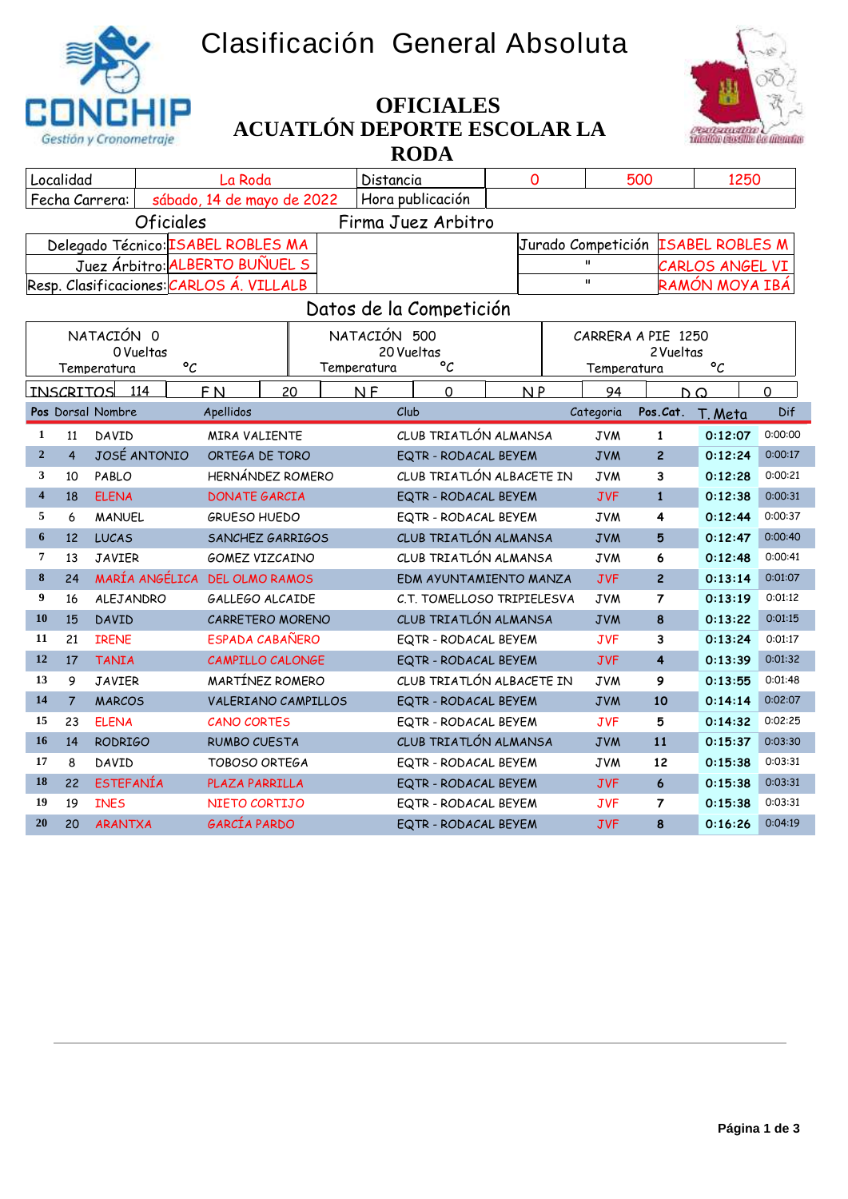## **Clasificación General Absoluta**





## **ACUATLÓN DEPORTE ESCOLAR LA RODA OFICIALES**

| Localidad                                                        |                                                  |                                          | La Roda                |    | Distancia      |                            | 0       |                                              | 500         |                | 1250                  |          |
|------------------------------------------------------------------|--------------------------------------------------|------------------------------------------|------------------------|----|----------------|----------------------------|---------|----------------------------------------------|-------------|----------------|-----------------------|----------|
| Hora publicación<br>Fecha Carrera:<br>sábado, 14 de mayo de 2022 |                                                  |                                          |                        |    |                |                            |         |                                              |             |                |                       |          |
| <b>Oficiales</b><br>Firma Juez Arbitro                           |                                                  |                                          |                        |    |                |                            |         |                                              |             |                |                       |          |
|                                                                  | Delegado Técnico: ISABEL ROBLES MA               |                                          |                        |    |                |                            |         | <b>ISABEL ROBLES M</b><br>Jurado Competición |             |                |                       |          |
|                                                                  |                                                  | Juez Árbitro: ALBERTO BUÑUEL S           |                        |    |                |                            |         | $\mathbf{u}$<br>CARLOS ANGEL VI              |             |                |                       |          |
|                                                                  |                                                  | Resp. Clasificaciones: CARLOS Á. VILLALB |                        |    |                |                            |         | $\mathbf{u}$<br>RAMÓN MOYA IBÁ               |             |                |                       |          |
|                                                                  |                                                  |                                          |                        |    |                | Datos de la Competición    |         |                                              |             |                |                       |          |
|                                                                  | NATACIÓN 500<br>NATACIÓN 0<br>CARRERA A PIE 1250 |                                          |                        |    |                |                            |         |                                              |             |                |                       |          |
|                                                                  |                                                  | 0 Vueltas                                |                        |    |                | 20 Vueltas<br>2 Vueltas    |         |                                              |             |                |                       |          |
|                                                                  |                                                  | $\circ_{\mathcal{C}}$<br>Temperatura     |                        |    | Temperatura    | °C                         |         |                                              | Temperatura |                | $\circ_{\mathcal{C}}$ |          |
|                                                                  | <b>INSCRITOS</b>                                 | 114                                      | F <sub>N</sub>         | 20 | N <sub>F</sub> | $\mathbf 0$                |         | NP                                           | 94          |                | $D^{\Omega}$          | $\Omega$ |
| Club<br>Pos Dorsal Nombre<br>Apellidos<br>Categoria              |                                                  |                                          |                        |    |                | Pos.Cat.                   | T. Meta | Dif                                          |             |                |                       |          |
| 1                                                                | 11                                               | DAVID                                    | <b>MIRA VALIENTE</b>   |    |                | CLUB TRIATLÓN ALMANSA      |         |                                              | <b>JVM</b>  | $\mathbf{1}$   | 0:12:07               | 0:00:00  |
| $\overline{2}$                                                   | $\overline{4}$                                   | JOSÉ ANTONIO                             | ORTEGA DE TORO         |    |                | EQTR - RODACAL BEYEM       |         |                                              | <b>JVM</b>  | $\overline{c}$ | 0:12:24               | 0:00:17  |
| 3                                                                | 10                                               | PABLO                                    | HERNÁNDEZ ROMERO       |    |                | CLUB TRIATLÓN ALBACETE IN  |         |                                              | <b>JVM</b>  | 3              | 0:12:28               | 0:00:21  |
| $\overline{\mathbf{4}}$                                          | 18                                               | <b>ELENA</b>                             | <b>DONATE GARCIA</b>   |    |                | EQTR - RODACAL BEYEM       |         |                                              | <b>JVF</b>  | $\mathbf{1}$   | 0:12:38               | 0:00:31  |
| 5                                                                | 6                                                | <b>MANUEL</b>                            | <b>GRUESO HUEDO</b>    |    |                | EQTR - RODACAL BEYEM       |         |                                              | <b>JVM</b>  | 4              | 0:12:44               | 0:00:37  |
| 6                                                                | 12                                               | <b>LUCAS</b>                             | SANCHEZ GARRIGOS       |    |                | CLUB TRIATLÓN ALMANSA      |         |                                              | <b>JVM</b>  | 5              | 0:12:47               | 0:00:40  |
| 7                                                                | 13                                               | <b>JAVIER</b>                            | <b>GOMEZ VIZCAINO</b>  |    |                | CLUB TRIATLÓN ALMANSA      |         |                                              | <b>JVM</b>  | 6              | 0:12:48               | 0:00:41  |
| 8                                                                | 24                                               | MARÍA ANGÉLICA                           | <b>DEL OLMO RAMOS</b>  |    |                | EDM AYUNTAMIENTO MANZA     |         |                                              | <b>JVF</b>  | $\overline{c}$ | 0:13:14               | 0:01:07  |
| 9                                                                | 16                                               | ALEJANDRO                                | GALLEGO ALCAIDE        |    |                | C.T. TOMELLOSO TRIPIELESVA |         |                                              | <b>JVM</b>  | $\overline{7}$ | 0:13:19               | 0:01:12  |
| 10                                                               | 15                                               | <b>DAVID</b>                             | CARRETERO MORENO       |    |                | CLUB TRIATLÓN ALMANSA      |         |                                              | <b>JVM</b>  | 8              | 0:13:22               | 0:01:15  |
| 11                                                               | 21                                               | <b>IRENE</b>                             | <b>ESPADA CABAÑERO</b> |    |                | EQTR - RODACAL BEYEM       |         |                                              | <b>JVF</b>  | 3              | 0:13:24               | 0:01:17  |
| 12                                                               | 17                                               | <b>TANIA</b>                             | CAMPILLO CALONGE       |    |                | EQTR - RODACAL BEYEM       |         |                                              | <b>JVF</b>  | $\overline{4}$ | 0:13:39               | 0:01:32  |
| 13                                                               | 9                                                | <b>JAVIER</b>                            | MARTÍNEZ ROMERO        |    |                | CLUB TRIATLÓN ALBACETE IN  |         |                                              | <b>JVM</b>  | 9              | 0:13:55               | 0:01:48  |
| 14                                                               | $\overline{7}$                                   | <b>MARCOS</b>                            | VALERIANO CAMPILLOS    |    |                | EQTR - RODACAL BEYEM       |         |                                              | <b>JVM</b>  | 10             | 0:14:14               | 0:02:07  |
| 15                                                               | 23                                               | <b>ELENA</b>                             | <b>CANO CORTES</b>     |    |                | EQTR - RODACAL BEYEM       |         |                                              | <b>JVF</b>  | 5              | 0:14:32               | 0:02:25  |
| 16                                                               | 14                                               | <b>RODRIGO</b>                           | <b>RUMBO CUESTA</b>    |    |                | CLUB TRIATLÓN ALMANSA      |         |                                              | <b>JVM</b>  | 11             | 0:15:37               | 0:03:30  |
| 17                                                               | 8                                                | DAVID                                    | <b>TOBOSO ORTEGA</b>   |    |                | EQTR - RODACAL BEYEM       |         |                                              | <b>JVM</b>  | 12             | 0:15:38               | 0:03:31  |
| 18                                                               | 22                                               | <b>ESTEFANÍA</b>                         | PLAZA PARRILLA         |    |                | EQTR - RODACAL BEYEM       |         |                                              | <b>JVF</b>  | $\epsilon$     | 0:15:38               | 0:03:31  |
| 19                                                               | 19                                               | <b>INES</b>                              | NIETO CORTIJO          |    |                | EQTR - RODACAL BEYEM       |         |                                              | <b>JVF</b>  | $\overline{7}$ | 0:15:38               | 0:03:31  |
| 20                                                               | 20                                               | <b>ARANTXA</b>                           | GARCÍA PARDO           |    |                | EQTR - RODACAL BEYEM       |         |                                              | <b>JVF</b>  | 8              | 0:16:26               | 0:04:19  |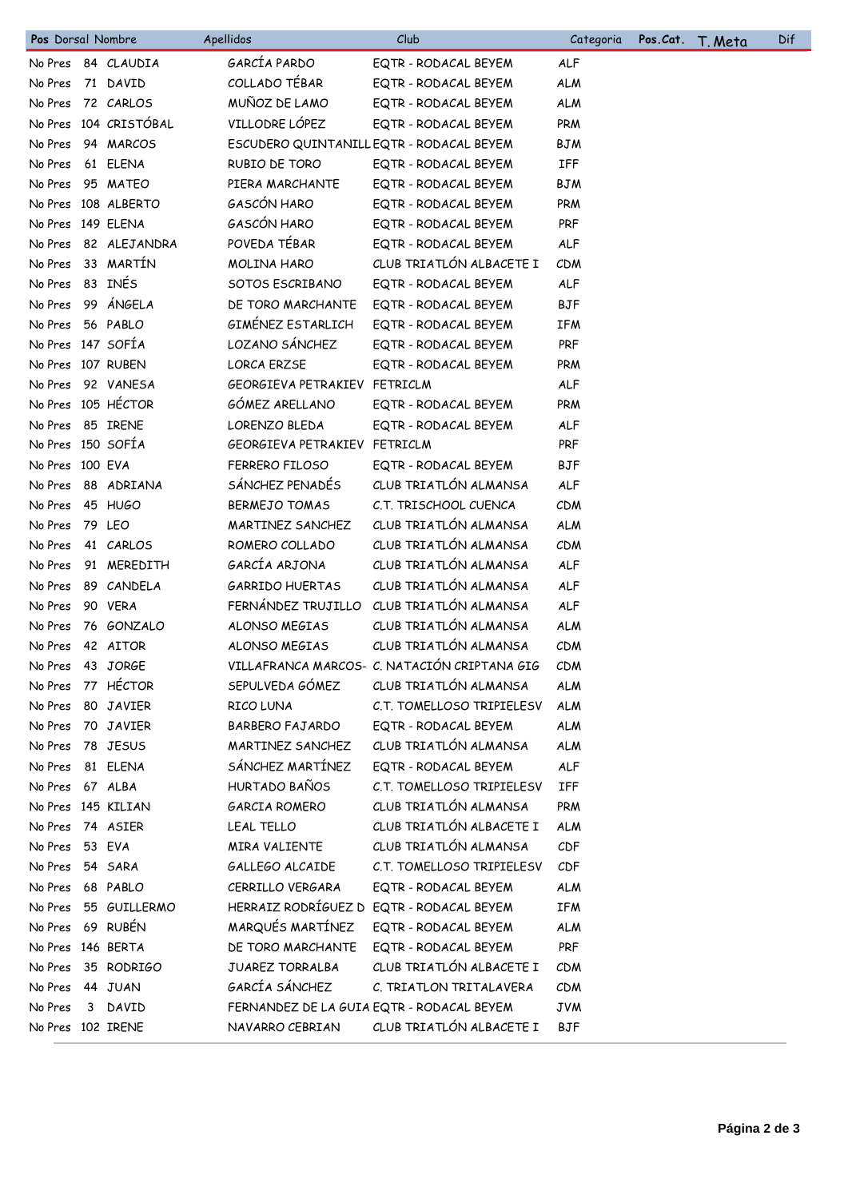| GARCÍA PARDO<br>No Pres 84 CLAUDIA<br>EQTR - RODACAL BEYEM<br>ALF<br>COLLADO TÉBAR<br><b>ALM</b><br>71 DAVID<br>EQTR - RODACAL BEYEM<br>No Pres<br>MUÑOZ DE LAMO<br>72 CARLOS<br>No Pres<br>EQTR - RODACAL BEYEM<br><b>ALM</b><br>VILLODRE LÓPEZ<br>No Pres 104 CRISTÓBAL<br>PRM<br>EQTR - RODACAL BEYEM<br>94 MARCOS<br>ESCUDERO QUINTANILL EQTR - RODACAL BEYEM<br><b>BJM</b><br>No Pres<br>61 ELENA<br>RUBIO DE TORO<br><b>IFF</b><br>No Pres<br>EQTR - RODACAL BEYEM<br>No Pres<br>95 MATEO<br>PIERA MARCHANTE<br>EQTR - RODACAL BEYEM<br><b>BJM</b><br>GASCÓN HARO<br>No Pres 108 ALBERTO<br>PRM<br>EQTR - RODACAL BEYEM<br>GASCÓN HARO<br><b>PRF</b><br>No Pres 149 ELENA<br>EQTR - RODACAL BEYEM<br>POVEDA TÉBAR<br>82 ALEJANDRA<br>ALF<br>EQTR - RODACAL BEYEM<br>No Pres<br>33 MARTÍN<br>CLUB TRIATLÓN ALBACETE I<br>MOLINA HARO<br>No Pres<br>CDM<br>No Pres 83 INÉS<br>SOTOS ESCRIBANO<br><b>ALF</b><br>EQTR - RODACAL BEYEM<br>99 ÁNGELA<br>DE TORO MARCHANTE<br><b>BJF</b><br>No Pres<br>EQTR - RODACAL BEYEM<br>GIMÉNEZ ESTARLICH<br>No Pres<br>56 PABLO<br><b>IFM</b><br>EQTR - RODACAL BEYEM<br>LOZANO SÁNCHEZ<br>No Pres 147 SOFÍA<br><b>PRF</b><br>EQTR - RODACAL BEYEM<br>No Pres 107 RUBEN<br><b>LORCA ERZSE</b><br>EQTR - RODACAL BEYEM<br><b>PRM</b><br>No Pres 92 VANESA<br>GEORGIEVA PETRAKIEV FETRICLM<br><b>ALF</b><br>No Pres 105 HÉCTOR<br>GÓMEZ ARELLANO<br>PRM<br>EQTR - RODACAL BEYEM<br>No Pres 85 IRENE<br>LORENZO BLEDA<br>EQTR - RODACAL BEYEM<br>ALF<br>No Pres 150 SOFÍA<br>GEORGIEVA PETRAKIEV FETRICLM<br><b>PRF</b><br>No Pres 100 EVA<br>FERRERO FILOSO<br><b>BJF</b><br>EQTR - RODACAL BEYEM<br>SÁNCHEZ PENADÉS<br>CLUB TRIATLÓN ALMANSA<br>88 ADRIANA<br>No Pres<br>ALF<br><b>BERMEJO TOMAS</b><br>C.T. TRISCHOOL CUENCA<br>CDM<br>No Pres<br>45 HUGO<br>CLUB TRIATLÓN ALMANSA<br>MARTINEZ SANCHEZ<br><b>ALM</b><br>No Pres<br>79 LEO<br>CLUB TRIATLÓN ALMANSA<br>ROMERO COLLADO<br>CDM<br>No Pres<br>41 CARLOS<br>GARCÍA ARJONA<br>CLUB TRIATLÓN ALMANSA<br>91 MEREDITH<br><b>ALF</b><br>No Pres<br>CLUB TRIATLÓN ALMANSA<br><b>GARRIDO HUERTAS</b><br>ALF<br>No Pres<br>89 CANDELA<br>FERNÁNDEZ TRUJILLO<br>CLUB TRIATLÓN ALMANSA<br>90 VERA<br>ALF<br>No Pres<br>CLUB TRIATLÓN ALMANSA<br>ALONSO MEGIAS<br><b>ALM</b><br>No Pres<br>76 GONZALO<br>CLUB TRIATLÓN ALMANSA<br>42 AITOR<br>ALONSO MEGIAS<br>No Pres<br><b>CDM</b><br>VILLAFRANCA MARCOS- C. NATACIÓN CRIPTANA GIG<br>No Pres 43 JORGE<br>CDM<br>SEPULVEDA GÓMEZ<br>No Pres 77 HÉCTOR<br>CLUB TRIATLÓN ALMANSA<br><b>ALM</b><br>RICO LUNA<br>C.T. TOMELLOSO TRIPIELESV<br>No Pres<br>80 JAVIER<br><b>ALM</b><br>70 JAVIER<br><b>BARBERO FAJARDO</b><br>EQTR - RODACAL BEYEM<br>No Pres<br><b>ALM</b><br>MARTINEZ SANCHEZ<br>CLUB TRIATLÓN ALMANSA<br>No Pres 78 JESUS<br><b>ALM</b><br>SÁNCHEZ MARTÍNEZ<br>81 ELENA<br>EQTR - RODACAL BEYEM<br>ALF<br>No Pres<br>HURTADO BAÑOS<br>C.T. TOMELLOSO TRIPIELESV<br>No Pres 67 ALBA<br>IFF<br>CLUB TRIATLÓN ALMANSA<br>No Pres 145 KILIAN<br>GARCIA ROMERO<br><b>PRM</b><br>CLUB TRIATLÓN ALBACETE I<br>No Pres 74 ASIER<br>LEAL TELLO<br><b>ALM</b><br>CLUB TRIATLÓN ALMANSA<br>MIRA VALIENTE<br>CDF<br>No Pres 53 EVA<br>GALLEGO ALCAIDE<br>C.T. TOMELLOSO TRIPIELESV<br>No Pres<br>54 SARA<br>CDF<br>68 PABLO<br>CERRILLO VERGARA<br>EQTR - RODACAL BEYEM<br>No Pres<br><b>ALM</b><br>HERRAIZ RODRÍGUEZ D EQTR - RODACAL BEYEM<br>No Pres 55 GUILLERMO<br><b>IFM</b><br>MARQUÉS MARTÍNEZ<br>No Pres 69 RUBÉN<br>EQTR - RODACAL BEYEM<br><b>ALM</b><br>No Pres 146 BERTA<br>DE TORO MARCHANTE<br>PRF<br>EQTR - RODACAL BEYEM<br>JUAREZ TORRALBA<br>CLUB TRIATLÓN ALBACETE I<br>No Pres 35 RODRIGO<br><b>CDM</b><br>GARCÍA SÁNCHEZ<br>C. TRIATLON TRITALAVERA<br>No Pres 44 JUAN<br><b>CDM</b><br>FERNANDEZ DE LA GUIA EQTR - RODACAL BEYEM<br>No Pres<br>3 DAVID<br><b>JVM</b><br>CLUB TRIATLÓN ALBACETE I<br>No Pres 102 IRENE<br>NAVARRO CEBRIAN<br>BJF | Pos Dorsal Nombre | Apellidos | Club | Categoria | Pos.Cat. | <u>T. Meta</u> | Dif |
|-----------------------------------------------------------------------------------------------------------------------------------------------------------------------------------------------------------------------------------------------------------------------------------------------------------------------------------------------------------------------------------------------------------------------------------------------------------------------------------------------------------------------------------------------------------------------------------------------------------------------------------------------------------------------------------------------------------------------------------------------------------------------------------------------------------------------------------------------------------------------------------------------------------------------------------------------------------------------------------------------------------------------------------------------------------------------------------------------------------------------------------------------------------------------------------------------------------------------------------------------------------------------------------------------------------------------------------------------------------------------------------------------------------------------------------------------------------------------------------------------------------------------------------------------------------------------------------------------------------------------------------------------------------------------------------------------------------------------------------------------------------------------------------------------------------------------------------------------------------------------------------------------------------------------------------------------------------------------------------------------------------------------------------------------------------------------------------------------------------------------------------------------------------------------------------------------------------------------------------------------------------------------------------------------------------------------------------------------------------------------------------------------------------------------------------------------------------------------------------------------------------------------------------------------------------------------------------------------------------------------------------------------------------------------------------------------------------------------------------------------------------------------------------------------------------------------------------------------------------------------------------------------------------------------------------------------------------------------------------------------------------------------------------------------------------------------------------------------------------------------------------------------------------------------------------------------------------------------------------------------------------------------------------------------------------------------------------------------------------------------------------------------------------------------------------------------------------------------------------------------------------------------------------------------------------------------------------------------------------------------------------------------------------------------------------------------------------------------------------------------------------------------------------------------------------------------------------------------------------------------------------------------------------------|-------------------|-----------|------|-----------|----------|----------------|-----|
|                                                                                                                                                                                                                                                                                                                                                                                                                                                                                                                                                                                                                                                                                                                                                                                                                                                                                                                                                                                                                                                                                                                                                                                                                                                                                                                                                                                                                                                                                                                                                                                                                                                                                                                                                                                                                                                                                                                                                                                                                                                                                                                                                                                                                                                                                                                                                                                                                                                                                                                                                                                                                                                                                                                                                                                                                                                                                                                                                                                                                                                                                                                                                                                                                                                                                                                                                                                                                                                                                                                                                                                                                                                                                                                                                                                                                                                                                                                 |                   |           |      |           |          |                |     |
|                                                                                                                                                                                                                                                                                                                                                                                                                                                                                                                                                                                                                                                                                                                                                                                                                                                                                                                                                                                                                                                                                                                                                                                                                                                                                                                                                                                                                                                                                                                                                                                                                                                                                                                                                                                                                                                                                                                                                                                                                                                                                                                                                                                                                                                                                                                                                                                                                                                                                                                                                                                                                                                                                                                                                                                                                                                                                                                                                                                                                                                                                                                                                                                                                                                                                                                                                                                                                                                                                                                                                                                                                                                                                                                                                                                                                                                                                                                 |                   |           |      |           |          |                |     |
|                                                                                                                                                                                                                                                                                                                                                                                                                                                                                                                                                                                                                                                                                                                                                                                                                                                                                                                                                                                                                                                                                                                                                                                                                                                                                                                                                                                                                                                                                                                                                                                                                                                                                                                                                                                                                                                                                                                                                                                                                                                                                                                                                                                                                                                                                                                                                                                                                                                                                                                                                                                                                                                                                                                                                                                                                                                                                                                                                                                                                                                                                                                                                                                                                                                                                                                                                                                                                                                                                                                                                                                                                                                                                                                                                                                                                                                                                                                 |                   |           |      |           |          |                |     |
|                                                                                                                                                                                                                                                                                                                                                                                                                                                                                                                                                                                                                                                                                                                                                                                                                                                                                                                                                                                                                                                                                                                                                                                                                                                                                                                                                                                                                                                                                                                                                                                                                                                                                                                                                                                                                                                                                                                                                                                                                                                                                                                                                                                                                                                                                                                                                                                                                                                                                                                                                                                                                                                                                                                                                                                                                                                                                                                                                                                                                                                                                                                                                                                                                                                                                                                                                                                                                                                                                                                                                                                                                                                                                                                                                                                                                                                                                                                 |                   |           |      |           |          |                |     |
|                                                                                                                                                                                                                                                                                                                                                                                                                                                                                                                                                                                                                                                                                                                                                                                                                                                                                                                                                                                                                                                                                                                                                                                                                                                                                                                                                                                                                                                                                                                                                                                                                                                                                                                                                                                                                                                                                                                                                                                                                                                                                                                                                                                                                                                                                                                                                                                                                                                                                                                                                                                                                                                                                                                                                                                                                                                                                                                                                                                                                                                                                                                                                                                                                                                                                                                                                                                                                                                                                                                                                                                                                                                                                                                                                                                                                                                                                                                 |                   |           |      |           |          |                |     |
|                                                                                                                                                                                                                                                                                                                                                                                                                                                                                                                                                                                                                                                                                                                                                                                                                                                                                                                                                                                                                                                                                                                                                                                                                                                                                                                                                                                                                                                                                                                                                                                                                                                                                                                                                                                                                                                                                                                                                                                                                                                                                                                                                                                                                                                                                                                                                                                                                                                                                                                                                                                                                                                                                                                                                                                                                                                                                                                                                                                                                                                                                                                                                                                                                                                                                                                                                                                                                                                                                                                                                                                                                                                                                                                                                                                                                                                                                                                 |                   |           |      |           |          |                |     |
|                                                                                                                                                                                                                                                                                                                                                                                                                                                                                                                                                                                                                                                                                                                                                                                                                                                                                                                                                                                                                                                                                                                                                                                                                                                                                                                                                                                                                                                                                                                                                                                                                                                                                                                                                                                                                                                                                                                                                                                                                                                                                                                                                                                                                                                                                                                                                                                                                                                                                                                                                                                                                                                                                                                                                                                                                                                                                                                                                                                                                                                                                                                                                                                                                                                                                                                                                                                                                                                                                                                                                                                                                                                                                                                                                                                                                                                                                                                 |                   |           |      |           |          |                |     |
|                                                                                                                                                                                                                                                                                                                                                                                                                                                                                                                                                                                                                                                                                                                                                                                                                                                                                                                                                                                                                                                                                                                                                                                                                                                                                                                                                                                                                                                                                                                                                                                                                                                                                                                                                                                                                                                                                                                                                                                                                                                                                                                                                                                                                                                                                                                                                                                                                                                                                                                                                                                                                                                                                                                                                                                                                                                                                                                                                                                                                                                                                                                                                                                                                                                                                                                                                                                                                                                                                                                                                                                                                                                                                                                                                                                                                                                                                                                 |                   |           |      |           |          |                |     |
|                                                                                                                                                                                                                                                                                                                                                                                                                                                                                                                                                                                                                                                                                                                                                                                                                                                                                                                                                                                                                                                                                                                                                                                                                                                                                                                                                                                                                                                                                                                                                                                                                                                                                                                                                                                                                                                                                                                                                                                                                                                                                                                                                                                                                                                                                                                                                                                                                                                                                                                                                                                                                                                                                                                                                                                                                                                                                                                                                                                                                                                                                                                                                                                                                                                                                                                                                                                                                                                                                                                                                                                                                                                                                                                                                                                                                                                                                                                 |                   |           |      |           |          |                |     |
|                                                                                                                                                                                                                                                                                                                                                                                                                                                                                                                                                                                                                                                                                                                                                                                                                                                                                                                                                                                                                                                                                                                                                                                                                                                                                                                                                                                                                                                                                                                                                                                                                                                                                                                                                                                                                                                                                                                                                                                                                                                                                                                                                                                                                                                                                                                                                                                                                                                                                                                                                                                                                                                                                                                                                                                                                                                                                                                                                                                                                                                                                                                                                                                                                                                                                                                                                                                                                                                                                                                                                                                                                                                                                                                                                                                                                                                                                                                 |                   |           |      |           |          |                |     |
|                                                                                                                                                                                                                                                                                                                                                                                                                                                                                                                                                                                                                                                                                                                                                                                                                                                                                                                                                                                                                                                                                                                                                                                                                                                                                                                                                                                                                                                                                                                                                                                                                                                                                                                                                                                                                                                                                                                                                                                                                                                                                                                                                                                                                                                                                                                                                                                                                                                                                                                                                                                                                                                                                                                                                                                                                                                                                                                                                                                                                                                                                                                                                                                                                                                                                                                                                                                                                                                                                                                                                                                                                                                                                                                                                                                                                                                                                                                 |                   |           |      |           |          |                |     |
|                                                                                                                                                                                                                                                                                                                                                                                                                                                                                                                                                                                                                                                                                                                                                                                                                                                                                                                                                                                                                                                                                                                                                                                                                                                                                                                                                                                                                                                                                                                                                                                                                                                                                                                                                                                                                                                                                                                                                                                                                                                                                                                                                                                                                                                                                                                                                                                                                                                                                                                                                                                                                                                                                                                                                                                                                                                                                                                                                                                                                                                                                                                                                                                                                                                                                                                                                                                                                                                                                                                                                                                                                                                                                                                                                                                                                                                                                                                 |                   |           |      |           |          |                |     |
|                                                                                                                                                                                                                                                                                                                                                                                                                                                                                                                                                                                                                                                                                                                                                                                                                                                                                                                                                                                                                                                                                                                                                                                                                                                                                                                                                                                                                                                                                                                                                                                                                                                                                                                                                                                                                                                                                                                                                                                                                                                                                                                                                                                                                                                                                                                                                                                                                                                                                                                                                                                                                                                                                                                                                                                                                                                                                                                                                                                                                                                                                                                                                                                                                                                                                                                                                                                                                                                                                                                                                                                                                                                                                                                                                                                                                                                                                                                 |                   |           |      |           |          |                |     |
|                                                                                                                                                                                                                                                                                                                                                                                                                                                                                                                                                                                                                                                                                                                                                                                                                                                                                                                                                                                                                                                                                                                                                                                                                                                                                                                                                                                                                                                                                                                                                                                                                                                                                                                                                                                                                                                                                                                                                                                                                                                                                                                                                                                                                                                                                                                                                                                                                                                                                                                                                                                                                                                                                                                                                                                                                                                                                                                                                                                                                                                                                                                                                                                                                                                                                                                                                                                                                                                                                                                                                                                                                                                                                                                                                                                                                                                                                                                 |                   |           |      |           |          |                |     |
|                                                                                                                                                                                                                                                                                                                                                                                                                                                                                                                                                                                                                                                                                                                                                                                                                                                                                                                                                                                                                                                                                                                                                                                                                                                                                                                                                                                                                                                                                                                                                                                                                                                                                                                                                                                                                                                                                                                                                                                                                                                                                                                                                                                                                                                                                                                                                                                                                                                                                                                                                                                                                                                                                                                                                                                                                                                                                                                                                                                                                                                                                                                                                                                                                                                                                                                                                                                                                                                                                                                                                                                                                                                                                                                                                                                                                                                                                                                 |                   |           |      |           |          |                |     |
|                                                                                                                                                                                                                                                                                                                                                                                                                                                                                                                                                                                                                                                                                                                                                                                                                                                                                                                                                                                                                                                                                                                                                                                                                                                                                                                                                                                                                                                                                                                                                                                                                                                                                                                                                                                                                                                                                                                                                                                                                                                                                                                                                                                                                                                                                                                                                                                                                                                                                                                                                                                                                                                                                                                                                                                                                                                                                                                                                                                                                                                                                                                                                                                                                                                                                                                                                                                                                                                                                                                                                                                                                                                                                                                                                                                                                                                                                                                 |                   |           |      |           |          |                |     |
|                                                                                                                                                                                                                                                                                                                                                                                                                                                                                                                                                                                                                                                                                                                                                                                                                                                                                                                                                                                                                                                                                                                                                                                                                                                                                                                                                                                                                                                                                                                                                                                                                                                                                                                                                                                                                                                                                                                                                                                                                                                                                                                                                                                                                                                                                                                                                                                                                                                                                                                                                                                                                                                                                                                                                                                                                                                                                                                                                                                                                                                                                                                                                                                                                                                                                                                                                                                                                                                                                                                                                                                                                                                                                                                                                                                                                                                                                                                 |                   |           |      |           |          |                |     |
|                                                                                                                                                                                                                                                                                                                                                                                                                                                                                                                                                                                                                                                                                                                                                                                                                                                                                                                                                                                                                                                                                                                                                                                                                                                                                                                                                                                                                                                                                                                                                                                                                                                                                                                                                                                                                                                                                                                                                                                                                                                                                                                                                                                                                                                                                                                                                                                                                                                                                                                                                                                                                                                                                                                                                                                                                                                                                                                                                                                                                                                                                                                                                                                                                                                                                                                                                                                                                                                                                                                                                                                                                                                                                                                                                                                                                                                                                                                 |                   |           |      |           |          |                |     |
|                                                                                                                                                                                                                                                                                                                                                                                                                                                                                                                                                                                                                                                                                                                                                                                                                                                                                                                                                                                                                                                                                                                                                                                                                                                                                                                                                                                                                                                                                                                                                                                                                                                                                                                                                                                                                                                                                                                                                                                                                                                                                                                                                                                                                                                                                                                                                                                                                                                                                                                                                                                                                                                                                                                                                                                                                                                                                                                                                                                                                                                                                                                                                                                                                                                                                                                                                                                                                                                                                                                                                                                                                                                                                                                                                                                                                                                                                                                 |                   |           |      |           |          |                |     |
|                                                                                                                                                                                                                                                                                                                                                                                                                                                                                                                                                                                                                                                                                                                                                                                                                                                                                                                                                                                                                                                                                                                                                                                                                                                                                                                                                                                                                                                                                                                                                                                                                                                                                                                                                                                                                                                                                                                                                                                                                                                                                                                                                                                                                                                                                                                                                                                                                                                                                                                                                                                                                                                                                                                                                                                                                                                                                                                                                                                                                                                                                                                                                                                                                                                                                                                                                                                                                                                                                                                                                                                                                                                                                                                                                                                                                                                                                                                 |                   |           |      |           |          |                |     |
|                                                                                                                                                                                                                                                                                                                                                                                                                                                                                                                                                                                                                                                                                                                                                                                                                                                                                                                                                                                                                                                                                                                                                                                                                                                                                                                                                                                                                                                                                                                                                                                                                                                                                                                                                                                                                                                                                                                                                                                                                                                                                                                                                                                                                                                                                                                                                                                                                                                                                                                                                                                                                                                                                                                                                                                                                                                                                                                                                                                                                                                                                                                                                                                                                                                                                                                                                                                                                                                                                                                                                                                                                                                                                                                                                                                                                                                                                                                 |                   |           |      |           |          |                |     |
|                                                                                                                                                                                                                                                                                                                                                                                                                                                                                                                                                                                                                                                                                                                                                                                                                                                                                                                                                                                                                                                                                                                                                                                                                                                                                                                                                                                                                                                                                                                                                                                                                                                                                                                                                                                                                                                                                                                                                                                                                                                                                                                                                                                                                                                                                                                                                                                                                                                                                                                                                                                                                                                                                                                                                                                                                                                                                                                                                                                                                                                                                                                                                                                                                                                                                                                                                                                                                                                                                                                                                                                                                                                                                                                                                                                                                                                                                                                 |                   |           |      |           |          |                |     |
|                                                                                                                                                                                                                                                                                                                                                                                                                                                                                                                                                                                                                                                                                                                                                                                                                                                                                                                                                                                                                                                                                                                                                                                                                                                                                                                                                                                                                                                                                                                                                                                                                                                                                                                                                                                                                                                                                                                                                                                                                                                                                                                                                                                                                                                                                                                                                                                                                                                                                                                                                                                                                                                                                                                                                                                                                                                                                                                                                                                                                                                                                                                                                                                                                                                                                                                                                                                                                                                                                                                                                                                                                                                                                                                                                                                                                                                                                                                 |                   |           |      |           |          |                |     |
|                                                                                                                                                                                                                                                                                                                                                                                                                                                                                                                                                                                                                                                                                                                                                                                                                                                                                                                                                                                                                                                                                                                                                                                                                                                                                                                                                                                                                                                                                                                                                                                                                                                                                                                                                                                                                                                                                                                                                                                                                                                                                                                                                                                                                                                                                                                                                                                                                                                                                                                                                                                                                                                                                                                                                                                                                                                                                                                                                                                                                                                                                                                                                                                                                                                                                                                                                                                                                                                                                                                                                                                                                                                                                                                                                                                                                                                                                                                 |                   |           |      |           |          |                |     |
|                                                                                                                                                                                                                                                                                                                                                                                                                                                                                                                                                                                                                                                                                                                                                                                                                                                                                                                                                                                                                                                                                                                                                                                                                                                                                                                                                                                                                                                                                                                                                                                                                                                                                                                                                                                                                                                                                                                                                                                                                                                                                                                                                                                                                                                                                                                                                                                                                                                                                                                                                                                                                                                                                                                                                                                                                                                                                                                                                                                                                                                                                                                                                                                                                                                                                                                                                                                                                                                                                                                                                                                                                                                                                                                                                                                                                                                                                                                 |                   |           |      |           |          |                |     |
|                                                                                                                                                                                                                                                                                                                                                                                                                                                                                                                                                                                                                                                                                                                                                                                                                                                                                                                                                                                                                                                                                                                                                                                                                                                                                                                                                                                                                                                                                                                                                                                                                                                                                                                                                                                                                                                                                                                                                                                                                                                                                                                                                                                                                                                                                                                                                                                                                                                                                                                                                                                                                                                                                                                                                                                                                                                                                                                                                                                                                                                                                                                                                                                                                                                                                                                                                                                                                                                                                                                                                                                                                                                                                                                                                                                                                                                                                                                 |                   |           |      |           |          |                |     |
|                                                                                                                                                                                                                                                                                                                                                                                                                                                                                                                                                                                                                                                                                                                                                                                                                                                                                                                                                                                                                                                                                                                                                                                                                                                                                                                                                                                                                                                                                                                                                                                                                                                                                                                                                                                                                                                                                                                                                                                                                                                                                                                                                                                                                                                                                                                                                                                                                                                                                                                                                                                                                                                                                                                                                                                                                                                                                                                                                                                                                                                                                                                                                                                                                                                                                                                                                                                                                                                                                                                                                                                                                                                                                                                                                                                                                                                                                                                 |                   |           |      |           |          |                |     |
|                                                                                                                                                                                                                                                                                                                                                                                                                                                                                                                                                                                                                                                                                                                                                                                                                                                                                                                                                                                                                                                                                                                                                                                                                                                                                                                                                                                                                                                                                                                                                                                                                                                                                                                                                                                                                                                                                                                                                                                                                                                                                                                                                                                                                                                                                                                                                                                                                                                                                                                                                                                                                                                                                                                                                                                                                                                                                                                                                                                                                                                                                                                                                                                                                                                                                                                                                                                                                                                                                                                                                                                                                                                                                                                                                                                                                                                                                                                 |                   |           |      |           |          |                |     |
|                                                                                                                                                                                                                                                                                                                                                                                                                                                                                                                                                                                                                                                                                                                                                                                                                                                                                                                                                                                                                                                                                                                                                                                                                                                                                                                                                                                                                                                                                                                                                                                                                                                                                                                                                                                                                                                                                                                                                                                                                                                                                                                                                                                                                                                                                                                                                                                                                                                                                                                                                                                                                                                                                                                                                                                                                                                                                                                                                                                                                                                                                                                                                                                                                                                                                                                                                                                                                                                                                                                                                                                                                                                                                                                                                                                                                                                                                                                 |                   |           |      |           |          |                |     |
|                                                                                                                                                                                                                                                                                                                                                                                                                                                                                                                                                                                                                                                                                                                                                                                                                                                                                                                                                                                                                                                                                                                                                                                                                                                                                                                                                                                                                                                                                                                                                                                                                                                                                                                                                                                                                                                                                                                                                                                                                                                                                                                                                                                                                                                                                                                                                                                                                                                                                                                                                                                                                                                                                                                                                                                                                                                                                                                                                                                                                                                                                                                                                                                                                                                                                                                                                                                                                                                                                                                                                                                                                                                                                                                                                                                                                                                                                                                 |                   |           |      |           |          |                |     |
|                                                                                                                                                                                                                                                                                                                                                                                                                                                                                                                                                                                                                                                                                                                                                                                                                                                                                                                                                                                                                                                                                                                                                                                                                                                                                                                                                                                                                                                                                                                                                                                                                                                                                                                                                                                                                                                                                                                                                                                                                                                                                                                                                                                                                                                                                                                                                                                                                                                                                                                                                                                                                                                                                                                                                                                                                                                                                                                                                                                                                                                                                                                                                                                                                                                                                                                                                                                                                                                                                                                                                                                                                                                                                                                                                                                                                                                                                                                 |                   |           |      |           |          |                |     |
|                                                                                                                                                                                                                                                                                                                                                                                                                                                                                                                                                                                                                                                                                                                                                                                                                                                                                                                                                                                                                                                                                                                                                                                                                                                                                                                                                                                                                                                                                                                                                                                                                                                                                                                                                                                                                                                                                                                                                                                                                                                                                                                                                                                                                                                                                                                                                                                                                                                                                                                                                                                                                                                                                                                                                                                                                                                                                                                                                                                                                                                                                                                                                                                                                                                                                                                                                                                                                                                                                                                                                                                                                                                                                                                                                                                                                                                                                                                 |                   |           |      |           |          |                |     |
|                                                                                                                                                                                                                                                                                                                                                                                                                                                                                                                                                                                                                                                                                                                                                                                                                                                                                                                                                                                                                                                                                                                                                                                                                                                                                                                                                                                                                                                                                                                                                                                                                                                                                                                                                                                                                                                                                                                                                                                                                                                                                                                                                                                                                                                                                                                                                                                                                                                                                                                                                                                                                                                                                                                                                                                                                                                                                                                                                                                                                                                                                                                                                                                                                                                                                                                                                                                                                                                                                                                                                                                                                                                                                                                                                                                                                                                                                                                 |                   |           |      |           |          |                |     |
|                                                                                                                                                                                                                                                                                                                                                                                                                                                                                                                                                                                                                                                                                                                                                                                                                                                                                                                                                                                                                                                                                                                                                                                                                                                                                                                                                                                                                                                                                                                                                                                                                                                                                                                                                                                                                                                                                                                                                                                                                                                                                                                                                                                                                                                                                                                                                                                                                                                                                                                                                                                                                                                                                                                                                                                                                                                                                                                                                                                                                                                                                                                                                                                                                                                                                                                                                                                                                                                                                                                                                                                                                                                                                                                                                                                                                                                                                                                 |                   |           |      |           |          |                |     |
|                                                                                                                                                                                                                                                                                                                                                                                                                                                                                                                                                                                                                                                                                                                                                                                                                                                                                                                                                                                                                                                                                                                                                                                                                                                                                                                                                                                                                                                                                                                                                                                                                                                                                                                                                                                                                                                                                                                                                                                                                                                                                                                                                                                                                                                                                                                                                                                                                                                                                                                                                                                                                                                                                                                                                                                                                                                                                                                                                                                                                                                                                                                                                                                                                                                                                                                                                                                                                                                                                                                                                                                                                                                                                                                                                                                                                                                                                                                 |                   |           |      |           |          |                |     |
|                                                                                                                                                                                                                                                                                                                                                                                                                                                                                                                                                                                                                                                                                                                                                                                                                                                                                                                                                                                                                                                                                                                                                                                                                                                                                                                                                                                                                                                                                                                                                                                                                                                                                                                                                                                                                                                                                                                                                                                                                                                                                                                                                                                                                                                                                                                                                                                                                                                                                                                                                                                                                                                                                                                                                                                                                                                                                                                                                                                                                                                                                                                                                                                                                                                                                                                                                                                                                                                                                                                                                                                                                                                                                                                                                                                                                                                                                                                 |                   |           |      |           |          |                |     |
|                                                                                                                                                                                                                                                                                                                                                                                                                                                                                                                                                                                                                                                                                                                                                                                                                                                                                                                                                                                                                                                                                                                                                                                                                                                                                                                                                                                                                                                                                                                                                                                                                                                                                                                                                                                                                                                                                                                                                                                                                                                                                                                                                                                                                                                                                                                                                                                                                                                                                                                                                                                                                                                                                                                                                                                                                                                                                                                                                                                                                                                                                                                                                                                                                                                                                                                                                                                                                                                                                                                                                                                                                                                                                                                                                                                                                                                                                                                 |                   |           |      |           |          |                |     |
|                                                                                                                                                                                                                                                                                                                                                                                                                                                                                                                                                                                                                                                                                                                                                                                                                                                                                                                                                                                                                                                                                                                                                                                                                                                                                                                                                                                                                                                                                                                                                                                                                                                                                                                                                                                                                                                                                                                                                                                                                                                                                                                                                                                                                                                                                                                                                                                                                                                                                                                                                                                                                                                                                                                                                                                                                                                                                                                                                                                                                                                                                                                                                                                                                                                                                                                                                                                                                                                                                                                                                                                                                                                                                                                                                                                                                                                                                                                 |                   |           |      |           |          |                |     |
|                                                                                                                                                                                                                                                                                                                                                                                                                                                                                                                                                                                                                                                                                                                                                                                                                                                                                                                                                                                                                                                                                                                                                                                                                                                                                                                                                                                                                                                                                                                                                                                                                                                                                                                                                                                                                                                                                                                                                                                                                                                                                                                                                                                                                                                                                                                                                                                                                                                                                                                                                                                                                                                                                                                                                                                                                                                                                                                                                                                                                                                                                                                                                                                                                                                                                                                                                                                                                                                                                                                                                                                                                                                                                                                                                                                                                                                                                                                 |                   |           |      |           |          |                |     |
|                                                                                                                                                                                                                                                                                                                                                                                                                                                                                                                                                                                                                                                                                                                                                                                                                                                                                                                                                                                                                                                                                                                                                                                                                                                                                                                                                                                                                                                                                                                                                                                                                                                                                                                                                                                                                                                                                                                                                                                                                                                                                                                                                                                                                                                                                                                                                                                                                                                                                                                                                                                                                                                                                                                                                                                                                                                                                                                                                                                                                                                                                                                                                                                                                                                                                                                                                                                                                                                                                                                                                                                                                                                                                                                                                                                                                                                                                                                 |                   |           |      |           |          |                |     |
|                                                                                                                                                                                                                                                                                                                                                                                                                                                                                                                                                                                                                                                                                                                                                                                                                                                                                                                                                                                                                                                                                                                                                                                                                                                                                                                                                                                                                                                                                                                                                                                                                                                                                                                                                                                                                                                                                                                                                                                                                                                                                                                                                                                                                                                                                                                                                                                                                                                                                                                                                                                                                                                                                                                                                                                                                                                                                                                                                                                                                                                                                                                                                                                                                                                                                                                                                                                                                                                                                                                                                                                                                                                                                                                                                                                                                                                                                                                 |                   |           |      |           |          |                |     |
|                                                                                                                                                                                                                                                                                                                                                                                                                                                                                                                                                                                                                                                                                                                                                                                                                                                                                                                                                                                                                                                                                                                                                                                                                                                                                                                                                                                                                                                                                                                                                                                                                                                                                                                                                                                                                                                                                                                                                                                                                                                                                                                                                                                                                                                                                                                                                                                                                                                                                                                                                                                                                                                                                                                                                                                                                                                                                                                                                                                                                                                                                                                                                                                                                                                                                                                                                                                                                                                                                                                                                                                                                                                                                                                                                                                                                                                                                                                 |                   |           |      |           |          |                |     |
|                                                                                                                                                                                                                                                                                                                                                                                                                                                                                                                                                                                                                                                                                                                                                                                                                                                                                                                                                                                                                                                                                                                                                                                                                                                                                                                                                                                                                                                                                                                                                                                                                                                                                                                                                                                                                                                                                                                                                                                                                                                                                                                                                                                                                                                                                                                                                                                                                                                                                                                                                                                                                                                                                                                                                                                                                                                                                                                                                                                                                                                                                                                                                                                                                                                                                                                                                                                                                                                                                                                                                                                                                                                                                                                                                                                                                                                                                                                 |                   |           |      |           |          |                |     |
|                                                                                                                                                                                                                                                                                                                                                                                                                                                                                                                                                                                                                                                                                                                                                                                                                                                                                                                                                                                                                                                                                                                                                                                                                                                                                                                                                                                                                                                                                                                                                                                                                                                                                                                                                                                                                                                                                                                                                                                                                                                                                                                                                                                                                                                                                                                                                                                                                                                                                                                                                                                                                                                                                                                                                                                                                                                                                                                                                                                                                                                                                                                                                                                                                                                                                                                                                                                                                                                                                                                                                                                                                                                                                                                                                                                                                                                                                                                 |                   |           |      |           |          |                |     |
|                                                                                                                                                                                                                                                                                                                                                                                                                                                                                                                                                                                                                                                                                                                                                                                                                                                                                                                                                                                                                                                                                                                                                                                                                                                                                                                                                                                                                                                                                                                                                                                                                                                                                                                                                                                                                                                                                                                                                                                                                                                                                                                                                                                                                                                                                                                                                                                                                                                                                                                                                                                                                                                                                                                                                                                                                                                                                                                                                                                                                                                                                                                                                                                                                                                                                                                                                                                                                                                                                                                                                                                                                                                                                                                                                                                                                                                                                                                 |                   |           |      |           |          |                |     |
|                                                                                                                                                                                                                                                                                                                                                                                                                                                                                                                                                                                                                                                                                                                                                                                                                                                                                                                                                                                                                                                                                                                                                                                                                                                                                                                                                                                                                                                                                                                                                                                                                                                                                                                                                                                                                                                                                                                                                                                                                                                                                                                                                                                                                                                                                                                                                                                                                                                                                                                                                                                                                                                                                                                                                                                                                                                                                                                                                                                                                                                                                                                                                                                                                                                                                                                                                                                                                                                                                                                                                                                                                                                                                                                                                                                                                                                                                                                 |                   |           |      |           |          |                |     |
|                                                                                                                                                                                                                                                                                                                                                                                                                                                                                                                                                                                                                                                                                                                                                                                                                                                                                                                                                                                                                                                                                                                                                                                                                                                                                                                                                                                                                                                                                                                                                                                                                                                                                                                                                                                                                                                                                                                                                                                                                                                                                                                                                                                                                                                                                                                                                                                                                                                                                                                                                                                                                                                                                                                                                                                                                                                                                                                                                                                                                                                                                                                                                                                                                                                                                                                                                                                                                                                                                                                                                                                                                                                                                                                                                                                                                                                                                                                 |                   |           |      |           |          |                |     |
|                                                                                                                                                                                                                                                                                                                                                                                                                                                                                                                                                                                                                                                                                                                                                                                                                                                                                                                                                                                                                                                                                                                                                                                                                                                                                                                                                                                                                                                                                                                                                                                                                                                                                                                                                                                                                                                                                                                                                                                                                                                                                                                                                                                                                                                                                                                                                                                                                                                                                                                                                                                                                                                                                                                                                                                                                                                                                                                                                                                                                                                                                                                                                                                                                                                                                                                                                                                                                                                                                                                                                                                                                                                                                                                                                                                                                                                                                                                 |                   |           |      |           |          |                |     |
|                                                                                                                                                                                                                                                                                                                                                                                                                                                                                                                                                                                                                                                                                                                                                                                                                                                                                                                                                                                                                                                                                                                                                                                                                                                                                                                                                                                                                                                                                                                                                                                                                                                                                                                                                                                                                                                                                                                                                                                                                                                                                                                                                                                                                                                                                                                                                                                                                                                                                                                                                                                                                                                                                                                                                                                                                                                                                                                                                                                                                                                                                                                                                                                                                                                                                                                                                                                                                                                                                                                                                                                                                                                                                                                                                                                                                                                                                                                 |                   |           |      |           |          |                |     |